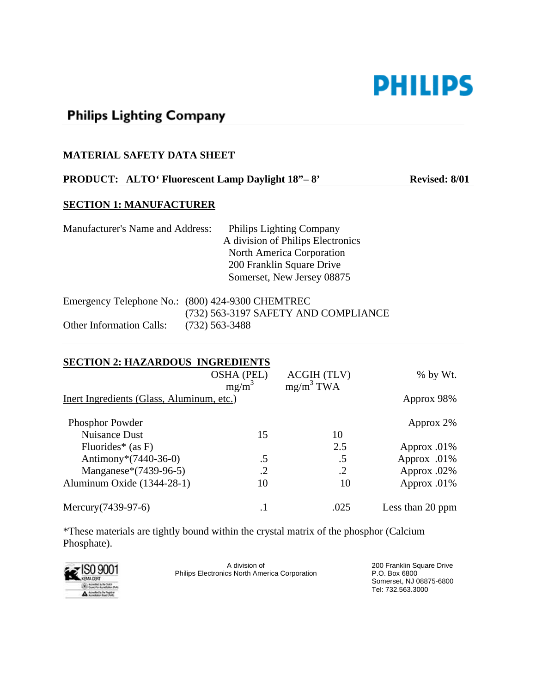

# **Philips Lighting Company**

#### **MATERIAL SAFETY DATA SHEET**

# **PRODUCT:** ALTO<sup>**'</sup> Fluorescent Lamp Daylight 18"-8" Revised: 8/01</sup>**

#### **SECTION 1: MANUFACTURER**

| Manufacturer's Name and Address: | <b>Philips Lighting Company</b>   |
|----------------------------------|-----------------------------------|
|                                  | A division of Philips Electronics |
|                                  | North America Corporation         |
|                                  | 200 Franklin Square Drive         |
|                                  | Somerset, New Jersey 08875        |
|                                  |                                   |

|                                 | Emergency Telephone No.: (800) 424-9300 CHEMTREC |
|---------------------------------|--------------------------------------------------|
|                                 | (732) 563-3197 SAFETY AND COMPLIANCE             |
| <b>Other Information Calls:</b> | (732) 563-3488                                   |

| <b>SECTION 2: HAZARDOUS INGREDIENTS</b>   |                               |                                    |                  |  |  |
|-------------------------------------------|-------------------------------|------------------------------------|------------------|--|--|
|                                           | <b>OSHA (PEL)</b><br>$mg/m^3$ | <b>ACGIH (TLV)</b><br>$mg/m^3$ TWA | $%$ by Wt.       |  |  |
| Inert Ingredients (Glass, Aluminum, etc.) |                               |                                    | Approx 98%       |  |  |
| <b>Phosphor Powder</b>                    |                               |                                    | Approx 2%        |  |  |
| Nuisance Dust                             | 15                            | 10                                 |                  |  |  |
| Fluorides* $(as F)$                       |                               | 2.5                                | Approx .01%      |  |  |
| Antimony* $(7440-36-0)$                   | $.5\,$                        | .5                                 | Approx .01%      |  |  |
| Manganese*(7439-96-5)                     | .2                            | $\cdot$ .2                         | Approx .02%      |  |  |
| Aluminum Oxide (1344-28-1)                | 10                            | 10                                 | Approx .01%      |  |  |
| Mercury (7439-97-6)                       |                               | .025                               | Less than 20 ppm |  |  |

\*These materials are tightly bound within the crystal matrix of the phosphor (Calcium Phosphate).



A division of Philips Electronics North America Corporation 200 Franklin Square Drive P.O. Box 6800 Somerset, NJ 08875-6800 Tel: 732.563.3000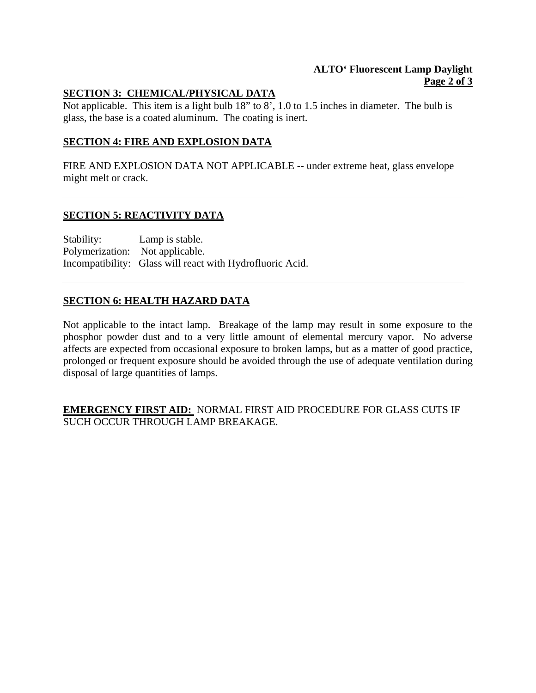## **ALTO' Fluorescent Lamp Daylight Page 2 of 3**

## **SECTION 3: CHEMICAL/PHYSICAL DATA**

Not applicable. This item is a light bulb 18" to 8', 1.0 to 1.5 inches in diameter. The bulb is glass, the base is a coated aluminum. The coating is inert.

## **SECTION 4: FIRE AND EXPLOSION DATA**

FIRE AND EXPLOSION DATA NOT APPLICABLE -- under extreme heat, glass envelope might melt or crack.

#### **SECTION 5: REACTIVITY DATA**

Stability: Lamp is stable. Polymerization: Not applicable. Incompatibility: Glass will react with Hydrofluoric Acid.

# **SECTION 6: HEALTH HAZARD DATA**

Not applicable to the intact lamp. Breakage of the lamp may result in some exposure to the phosphor powder dust and to a very little amount of elemental mercury vapor. No adverse affects are expected from occasional exposure to broken lamps, but as a matter of good practice, prolonged or frequent exposure should be avoided through the use of adequate ventilation during disposal of large quantities of lamps.

**EMERGENCY FIRST AID:** NORMAL FIRST AID PROCEDURE FOR GLASS CUTS IF SUCH OCCUR THROUGH LAMP BREAKAGE.